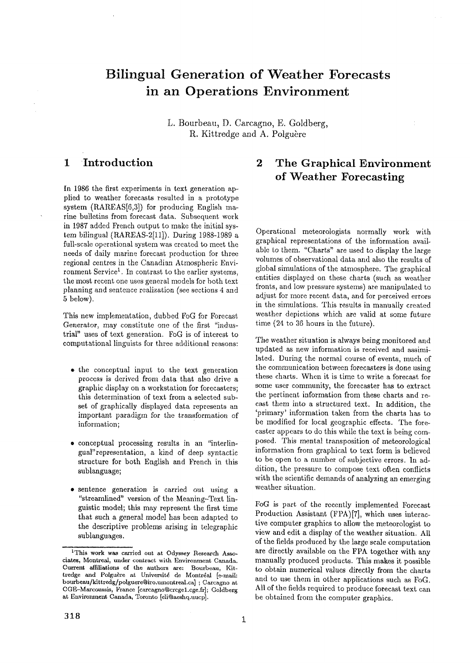# **Bilingual Generation of Weather Forecasts in an Operations Environment**

L. Bourbeau, D. Carcagno, E. Goldberg, R. Kittredge and A. Polguère

### **1 Introduction**

In 1986 the first experiments in text generation applied to weather forecasts resulted in a prototype system ( $\text{RAREAS}[6,3]$ ) for producing English marine bulletins from forecast data. Subsequent work in 1987 added French output to make the initial system bilingual (RAREAS-2[11]). During 1988-1989 a full-scale operational system was created to meet the needs of daily marine forecast production for three regional centres in the Canadian Atmospheric Environment Service<sup>1</sup>. In contrast to the earlier systems, the most recent one uses general models for both text planning and sentence realization (see sections 4 and 5 below).

This new implementation, dubbed FoG for Forecast Generator, may constitute one of the first "industrial" uses of text generation. FoG is of interest to computational linguists for three additional reasons:

- $\bullet$  the conceptual input to the text generation process is derived from data that also drive a graphic display on a workstation for forecasters; this determination of text from a selected subset of graphically displayed data represents an important paradigm for the transformation of information;
- conceptual processing results in an "interlingual"representation, a kind of deep syntactic structure for both English and French in this sublanguage;
- sentence generation is carried out using a "streamlined" version of the Meaning-Text linguistic model; this may represent the first time **that** such a general model has been adapted to **the** descriptive problems arising in telegraphic sublanguages.

## **2 The Graphical Environment of Weather Forecasting**

Operational meteorologists normally work with graphical representations of the information available to them. "Charts" are used to display the large volumes of observational data and also the results of global simulations of the atmosphere. The graphical entities displayed on these charts (such as weather fronts, and low pressure systems) are manipulated to adjust for more recent data, and for perceived errors in the simula£ions. This results in manually created weather depictions which are valid at some future time (24 to 36 hours in the future).

The weather situation is always being monitored and updated as new information is received and assimilated. During the normal course of events, much of the communication between forecasters is done using these charts. When it is time to write a forecast for some user community, the forecaster has to extract the pertinent information from these charts and recast them into a structured text. In addition, the 'primary' information taken from the charts has to be modified for local geographic effects. The forecaster appears to do this while the text is being composed. This mental transposition of meteorological information from graphical to text form is believed to be open to a number of subjective errors. In addition, the pressure to compose text often conflicts with the scientific demands of analyzing an emerging weather situation.

FoG is part of the recently implemented Forecast Production Assistant (FPA)[7], which uses interactive computer graphics to allow the meteorologist to view and edit a display of the weather situation. All of the fields produced by the large scale computation are directly available on the FPA together with any manually produced products. This makes it possible to obtain numerical values directly from the charts and to use them in other applications such as FoG. All of the fields required to produce forecast text can be obtained from the computer graphics.

<sup>1</sup>This work was carried **out at** Odyssey Research Associates, Montreal, under contract with Environment Canada. Current affiliations of the authors are: Bourbeau, Kittredge and Polguère at Université de Montréal [c-mail: bourbeau/kittredg/polguere@iro.umontreal.ca] ; Carcagno at CGE-Marcoussis, France [carcagno@crcge1.cge.fr]; Goldberg **at** Environment Canada, Toronto [eli@aeshq.uucp].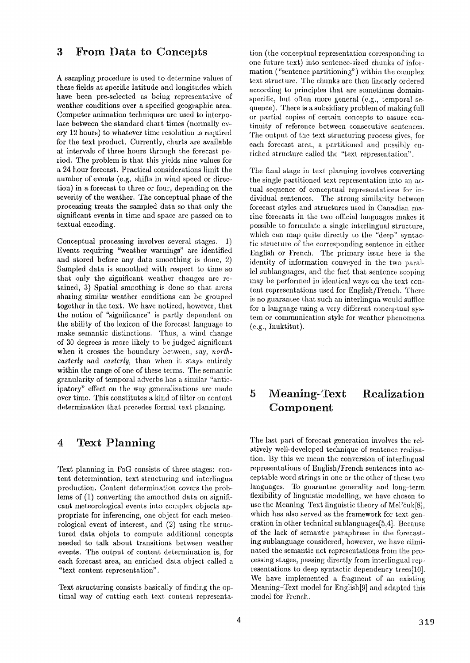#### **3 From Data to Concepts**

A sampling procedure is used to determine values of these fields at specific latitude and longitudes which have been pre-selected as being representative of weather conditions over a specified geographic area. Computer animation techniques are used to interpo~ late between the standard chart times (normally ew. cry 1.2 hours) to whatever time resolution is required for the text product. Currently, charts are available at intervals of three hours through the forecast period. The problem is that this yields nine values for a 24 hour forecast. Practical considerations limit the number of events (e.g. shifts in wind speed or direction) in a forecast to three or four, depending on the severity of the weather. The conceptual phase of the processing treats the sampled data so that only the significant events in time and space are passed on to textual encoding.

Conceptual processing involves several stages. 1) Events requiring "weather warnings" are identified and stored before any data smoothing is done, 2) Sampled data is smoothed with respect to time so that only the significant weather changes are retained, 3) Spatial smoothing is done so that areas sharing similar weather conditions can be grouped together in the text. We have noticed, however, that the notion of "significance" is partly dependent on the ability of the lexicon of the forecast language to make semantic distinctions. Thus, a wind change of 30 degrees is more likely to be judged significant when it crosses the boundary between, say, *northeasterly* and *easlerly,* than when it stays entirely within the range of one of these terms. The semantic granularity of temporal adverbs has a similar "anticipatory" effect on the way generalizations are made over tirne. This constitutes a kind of filter on content determination that precedes formal text planning.

#### **4 Text Planning**

Text planning in FoG consists of three stages: content determination, text structuring and interlingua production. Content determination covers the problems of (1) converting the smoothed data on significant meteorological events into complex objects appropriate for inferencing, one object for each meteorological event of interest, and (2) using the structured data objets to compute additional concepts needed to talk about transitions between weather events. The output of content determination is, for each forecast area, an enriched data object called a "text content representation".

Text structuring consists basically of finding the optimal way of cutting each text content representstion (the conceptual representation corresponding to one future text) into sentencc~sized chunks of infor~ mation ("sentence partitioning") within the complex text structure. The chunks are then linearly ordered according to principles that are sometimes domainspecific, but often more general (e.g., temporal sequence). There is a subsidiary problem of making full or partial copies of certain concepts to assure continuity of reference between consecutive sentences. The output of the text structuring process gives, for each forecast area, a partitioned and possibly enriched structure called the "text representation".

The final stage in text planning involves converting the single partitioned text representation into an actual sequence of conceptual representations for individual sentences. The strong similarity between forecast styles and structures used in Canadian marine forecasts in the two official languages makes it possible to formulate a single interlingual structure, which can map quite directly to the "deep" syntactic structure of the corresponding sentence in either English or French. The primary issue here is the identity of information conveyed in the two parallel sublanguages, and the fact that sentence scoping may be performed in identical ways on the text con- tent representations used for English/French. There is no guarantee that such an interlingua would suffice for a language using a very different conceptual system or communication style for weather phenomena (e.g., hmktitut).

## **5 Meaning-Text Realization Component**

The last part of forecast generation involves the relatively well-developed technique of sentence realization. By this we mean the conversion of interlingual representations of English/French sentences into acceptable word strings in one or the other of these two languages. To guarantee generality and long-term flexibility of linguistic modelling, we have chosen to use the Meaning-Text linguistic theory of Mel'cuk[8], which has also served as the framework for text generation in other technical sublanguages[5,4]. Because of the lack of semantic paraphrase in the forecasting sublanguage considered, however, we have eliminated the semantic net representations from the processing stages, passing directly from interlingual representations to deep syntactic dependency trees[10]. We have implemented a fragment of an existing Meaning-Text model for English[9] and adapted this model for French.